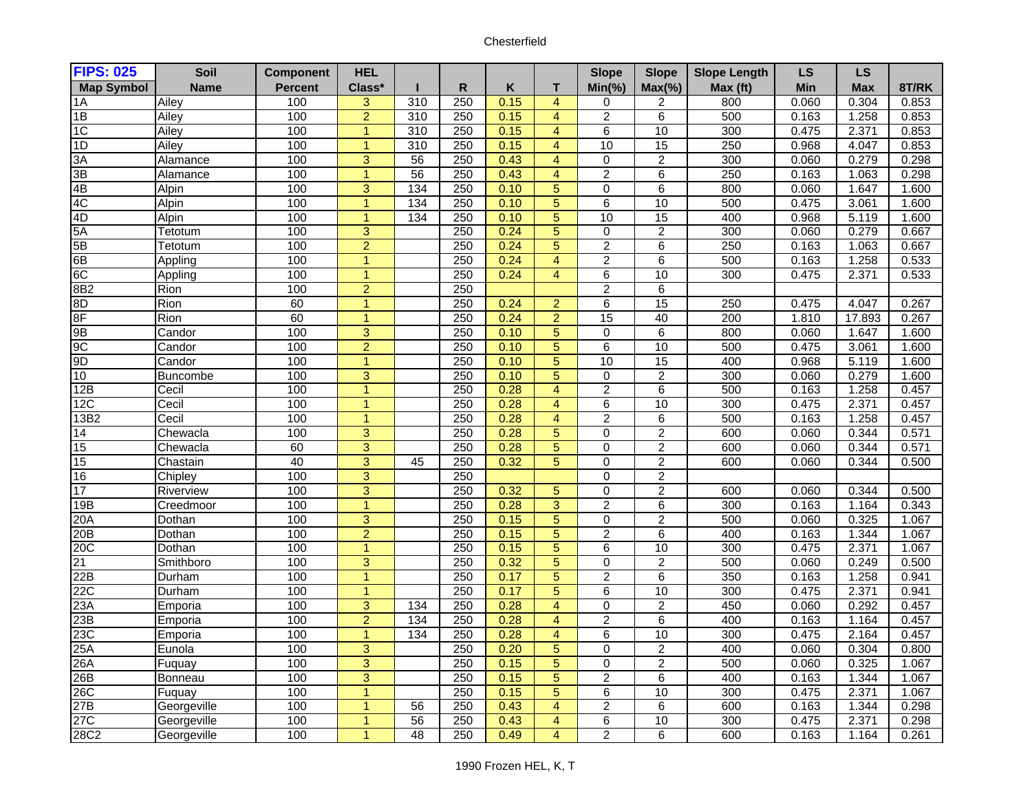| <b>FIPS: 025</b>  | Soil            | <b>Component</b> | <b>HEL</b>     |                 |              |      |                | <b>Slope</b>    | <b>Slope</b>     | <b>Slope Length</b> | <b>LS</b> | <b>LS</b>  |       |
|-------------------|-----------------|------------------|----------------|-----------------|--------------|------|----------------|-----------------|------------------|---------------------|-----------|------------|-------|
| <b>Map Symbol</b> | <b>Name</b>     | <b>Percent</b>   | Class*         |                 | $\mathsf{R}$ | K    | T              | $Min(\% )$      | $Max(\% )$       | Max (ft)            | Min       | <b>Max</b> | 8T/RK |
| 1A                | Ailey           | 100              | 3              | 310             | 250          | 0.15 | $\overline{4}$ | 0               | 2                | 800                 | 0.060     | 0.304      | 0.853 |
| 1B                | Ailey           | 100              | $\overline{2}$ | 310             | 250          | 0.15 | $\overline{4}$ | $\overline{2}$  | 6                | 500                 | 0.163     | 1.258      | 0.853 |
| 1C                | Ailey           | 100              | 1              | 310             | 250          | 0.15 | $\overline{4}$ | 6               | 10               | 300                 | 0.475     | 2.371      | 0.853 |
| 1D                | Ailey           | 100              | $\mathbf{1}$   | 310             | 250          | 0.15 | $\overline{4}$ | 10              | 15               | 250                 | 0.968     | 4.047      | 0.853 |
| 3A                | Alamance        | 100              | 3              | $\overline{56}$ | 250          | 0.43 | $\overline{4}$ | $\Omega$        | $\overline{2}$   | 300                 | 0.060     | 0.279      | 0.298 |
| 3B                | Alamance        | 100              | $\overline{1}$ | 56              | 250          | 0.43 | $\overline{4}$ | $\overline{c}$  | 6                | 250                 | 0.163     | 1.063      | 0.298 |
| 4B                | Alpin           | 100              | $\overline{3}$ | $\frac{134}{2}$ | 250          | 0.10 | $\overline{5}$ | $\overline{0}$  | $\overline{6}$   | 800                 | 0.060     | 1.647      | 1.600 |
| 4C                | Alpin           | 100              | $\overline{1}$ | 134             | 250          | 0.10 | 5              | 6               | 10               | 500                 | 0.475     | 3.061      | 1.600 |
| 4D                | Alpin           | 100              | $\overline{1}$ | 134             | 250          | 0.10 | $\overline{5}$ | 10              | 15               | 400                 | 0.968     | 5.119      | 1.600 |
| 5A                | Tetotum         | 100              | $\overline{3}$ |                 | 250          | 0.24 | $\overline{5}$ | $\mathbf 0$     | $\overline{2}$   | 300                 | 0.060     | 0.279      | 0.667 |
| 5B                | Tetotum         | 100              | $\overline{2}$ |                 | 250          | 0.24 | 5              | $\overline{2}$  | 6                | 250                 | 0.163     | 1.063      | 0.667 |
| 6B                | Appling         | 100              | $\mathbf{1}$   |                 | 250          | 0.24 | $\overline{4}$ | $\overline{2}$  | $\overline{6}$   | 500                 | 0.163     | 1.258      | 0.533 |
| 6C                | Appling         | 100              | 1              |                 | 250          | 0.24 | $\overline{4}$ | 6               | 10               | 300                 | 0.475     | 2.371      | 0.533 |
| 8B <sub>2</sub>   | Rion            | 100              | $\overline{2}$ |                 | 250          |      |                | $\overline{2}$  | 6                |                     |           |            |       |
| 8 <sub>D</sub>    | Rion            | 60               | $\mathbf{1}$   |                 | 250          | 0.24 | $\overline{2}$ | 6               | 15               | 250                 | 0.475     | 4.047      | 0.267 |
| 8F                | Rion            | 60               | $\mathbf{1}$   |                 | 250          | 0.24 | $\overline{2}$ | $\overline{15}$ | 40               | $\overline{200}$    | 1.810     | 17.893     | 0.267 |
| 9 <sub>B</sub>    | Candor          | 100              | $\overline{3}$ |                 | 250          | 0.10 | 5              | 0               | 6                | 800                 | 0.060     | 1.647      | 1.600 |
| 9C                | Candor          | 100              | $\overline{2}$ |                 | 250          | 0.10 | 5              | $\overline{6}$  | 10               | 500                 | 0.475     | 3.061      | 1.600 |
| 9 <sub>D</sub>    | Candor          | 100              | $\overline{1}$ |                 | 250          | 0.10 | $\overline{5}$ | 10              | 15               | 400                 | 0.968     | 5.119      | 1.600 |
| 10                | <b>Buncombe</b> | 100              | $\overline{3}$ |                 | 250          | 0.10 | 5              | 0               | $\overline{2}$   | 300                 | 0.060     | 0.279      | 1.600 |
| 12B               | Cecil           | 100              | $\overline{1}$ |                 | 250          | 0.28 | $\overline{4}$ | $\overline{2}$  | $\overline{6}$   | 500                 | 0.163     | 1.258      | 0.457 |
| 12C               | Cecil           | 100              | $\mathbf{1}$   |                 | 250          | 0.28 | $\overline{4}$ | 6               | 10               | 300                 | 0.475     | 2.371      | 0.457 |
| 13B2              | Cecil           | 100              | $\mathbf{1}$   |                 | 250          | 0.28 | $\overline{4}$ | $\overline{2}$  | 6                | 500                 | 0.163     | 1.258      | 0.457 |
| 14                | Chewacla        | 100              | $\overline{3}$ |                 | 250          | 0.28 | 5              | $\Omega$        | $\overline{2}$   | 600                 | 0.060     | 0.344      | 0.571 |
| 15                | Chewacla        | 60               | $\overline{3}$ |                 | 250          | 0.28 | $\overline{5}$ | 0               | $\overline{2}$   | 600                 | 0.060     | 0.344      | 0.571 |
| 15                | Chastain        | 40               | $\overline{3}$ | 45              | 250          | 0.32 | 5              | $\Omega$        | $\overline{2}$   | 600                 | 0.060     | 0.344      | 0.500 |
| 16                | Chipley         | 100              | $\overline{3}$ |                 | 250          |      |                | $\mathbf{0}$    | $\overline{2}$   |                     |           |            |       |
| 17                | Riverview       | 100              | $\overline{3}$ |                 | 250          | 0.32 | 5              | $\mathbf 0$     | $\overline{2}$   | 600                 | 0.060     | 0.344      | 0.500 |
| 19B               | Creedmoor       | 100              | $\overline{1}$ |                 | 250          | 0.28 | $\overline{3}$ | $\overline{2}$  | $\overline{6}$   | 300                 | 0.163     | 1.164      | 0.343 |
| 20A               | Dothan          | 100              | 3              |                 | 250          | 0.15 | 5              | $\mathbf 0$     | $\boldsymbol{2}$ | 500                 | 0.060     | 0.325      | 1.067 |
| 20B               | Dothan          | 100              | $\overline{2}$ |                 | 250          | 0.15 | $\overline{5}$ | $\overline{2}$  | $\overline{6}$   | 400                 | 0.163     | 1.344      | 1.067 |
| 20C               | Dothan          | 100              | $\overline{1}$ |                 | 250          | 0.15 | 5              | 6               | $\overline{10}$  | 300                 | 0.475     | 2.371      | 1.067 |
| 21                | Smithboro       | 100              | $\overline{3}$ |                 | 250          | 0.32 | 5              | 0               | $\overline{2}$   | 500                 | 0.060     | 0.249      | 0.500 |
| 22B               | Durham          | 100              | $\overline{1}$ |                 | 250          | 0.17 | $\overline{5}$ | $\overline{2}$  | $\overline{6}$   | 350                 | 0.163     | 1.258      | 0.941 |
| 22C               | Durham          | 100              | $\mathbf{1}$   |                 | 250          | 0.17 | 5              | 6               | 10               | 300                 | 0.475     | 2.371      | 0.941 |
| 23A               | Emporia         | 100              | $\overline{3}$ | 134             | 250          | 0.28 | 4              | 0               | $\overline{2}$   | 450                 | 0.060     | 0.292      | 0.457 |
| 23B               | Emporia         | 100              | $\overline{2}$ | $\frac{134}{2}$ | 250          | 0.28 | $\overline{4}$ | $\overline{2}$  | $\overline{6}$   | 400                 | 0.163     | 1.164      | 0.457 |
| 23C               | Emporia         | 100              | $\overline{1}$ | 134             | 250          | 0.28 | $\overline{4}$ | $\overline{6}$  | 10               | 300                 | 0.475     | 2.164      | 0.457 |
| 25A               | Eunola          | 100              | 3              |                 | 250          | 0.20 | 5              | $\Omega$        | $\boldsymbol{2}$ | 400                 | 0.060     | 0.304      | 0.800 |
| 26A               | Fuquay          | 100              | $\overline{3}$ |                 | 250          | 0.15 | $\overline{5}$ | 0               | $\overline{2}$   | 500                 | 0.060     | 0.325      | 1.067 |
| 26B               | Bonneau         | 100              | $\overline{3}$ |                 | 250          | 0.15 | 5              | $\overline{c}$  | 6                | 400                 | 0.163     | 1.344      | 1.067 |
| 26C               | Fuquay          | 100              | 1              |                 | 250          | 0.15 | 5              | 6               | 10               | 300                 | 0.475     | 2.371      | 1.067 |
| 27B               | Georgeville     | 100              | $\mathbf{1}$   | 56              | 250          | 0.43 | 4              | $\overline{2}$  | $\overline{6}$   | 600                 | 0.163     | 1.344      | 0.298 |
| 27C               | Georgeville     | 100              | $\mathbf{1}$   | 56              | 250          | 0.43 | $\overline{4}$ | 6               | 10               | 300                 | 0.475     | 2.371      | 0.298 |
| 28C2              | Georgeville     | 100              | 1              | 48              | 250          | 0.49 | $\overline{4}$ | $\overline{2}$  | 6                | 600                 | 0.163     | 1.164      | 0.261 |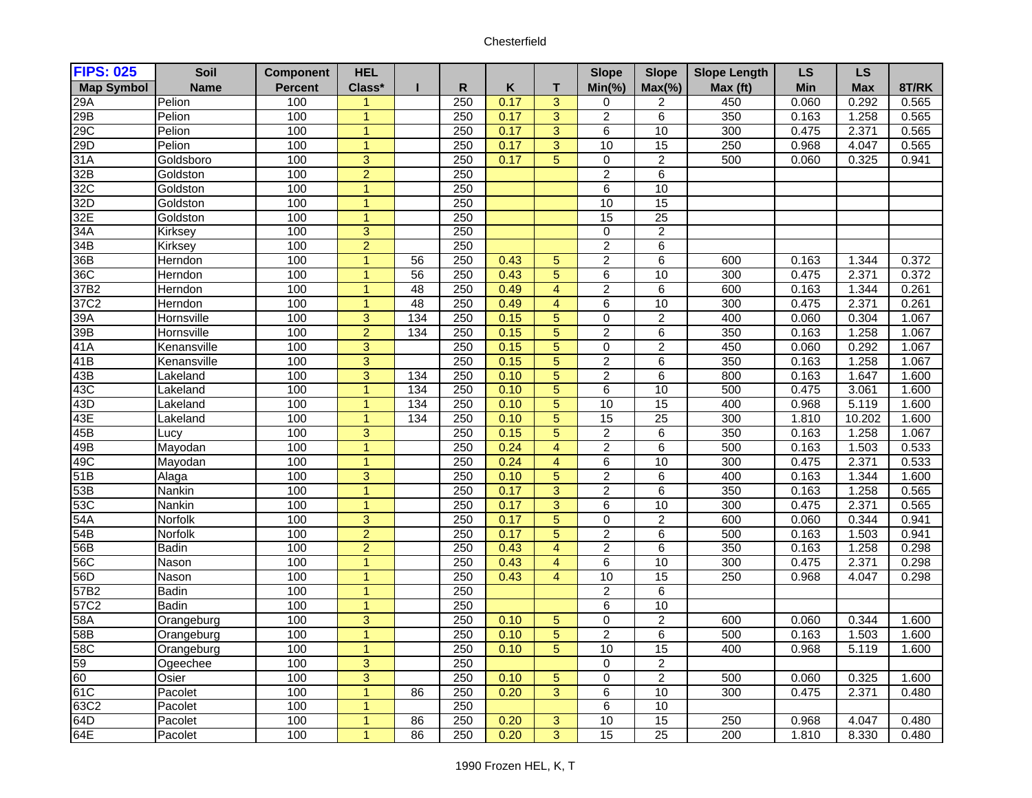| <b>FIPS: 025</b>  | Soil             | <b>Component</b> | <b>HEL</b>                     |                  |              |              |                | <b>Slope</b>        | <b>Slope</b>                     | <b>Slope Length</b> | LS             | <b>LS</b>      |                |
|-------------------|------------------|------------------|--------------------------------|------------------|--------------|--------------|----------------|---------------------|----------------------------------|---------------------|----------------|----------------|----------------|
| <b>Map Symbol</b> | <b>Name</b>      | <b>Percent</b>   | Class*                         |                  | $\mathsf{R}$ | Κ            | T.             | $Min(\% )$          | $Max(\%)$                        | Max (ft)            | Min            | <b>Max</b>     | 8T/RK          |
| 29A               | Pelion           | 100              | $\mathbf{1}$                   |                  | 250          | 0.17         | $\overline{3}$ | $\mathbf 0$         | 2                                | 450                 | 0.060          | 0.292          | 0.565          |
| 29B               | Pelion           | 100              | $\mathbf{1}$                   |                  | 250          | 0.17         | $\overline{3}$ | $\overline{2}$      | $\overline{6}$                   | 350                 | 0.163          | 1.258          | 0.565          |
| 29C               | Pelion           | 100              | $\mathbf{1}$                   |                  | 250          | 0.17         | 3              | 6                   | 10                               | 300                 | 0.475          | 2.371          | 0.565          |
| 29D               | Pelion           | 100              | $\overline{1}$                 |                  | 250          | 0.17         | $\overline{3}$ | 10                  | 15                               | 250                 | 0.968          | 4.047          | 0.565          |
| 31A               | Goldsboro        | 100              | $\overline{3}$                 |                  | 250          | 0.17         | $\overline{5}$ | $\overline{0}$      | $\overline{2}$                   | 500                 | 0.060          | 0.325          | 0.941          |
| 32B               | Goldston         | 100              | $\overline{2}$                 |                  | 250          |              |                | $\overline{2}$      | 6                                |                     |                |                |                |
| 32C               | Goldston         | 100              | $\mathbf{1}$                   |                  | 250          |              |                | $\overline{6}$      | 10                               |                     |                |                |                |
| 32D               | Goldston         | 100              | $\mathbf{1}$                   |                  | 250          |              |                | 10                  | 15                               |                     |                |                |                |
| 32E               | Goldston         | 100              | $\mathbf{1}$                   |                  | 250          |              |                | 15                  | $\overline{25}$                  |                     |                |                |                |
| 34A               | Kirksey          | 100              | 3                              |                  | 250          |              |                | $\pmb{0}$           | $\overline{2}$                   |                     |                |                |                |
| 34B               | Kirksey          | 100              | $\overline{2}$                 |                  | 250          |              |                | $\overline{2}$      | $\overline{6}$                   |                     |                |                |                |
| 36B               | Herndon          | 100              | $\mathbf{1}$                   | 56               | 250          | 0.43         | 5              | $\overline{2}$      | 6                                | 600                 | 0.163          | 1.344          | 0.372          |
| 36C               | Herndon          | 100              | 1                              | 56               | 250          | 0.43         | $\overline{5}$ | $\overline{6}$      | 10                               | 300                 | 0.475          | 2.371          | 0.372          |
| 37B2              | Herndon          | 100              | $\overline{1}$                 | 48               | 250          | 0.49         | $\overline{4}$ | $\overline{2}$      | $\overline{6}$                   | 600                 | 0.163          | 1.344          | 0.261          |
| 37C2              | Herndon          | 100              | $\mathbf{1}$                   | 48               | 250          | 0.49         | $\overline{4}$ | 6                   | 10                               | 300                 | 0.475          | 2.371          | 0.261          |
| 39A               | Hornsville       | 100              | $\overline{3}$                 | $\overline{134}$ | 250          | 0.15         | $\overline{5}$ | 0                   | $\overline{2}$                   | 400                 | 0.060          | 0.304          | 1.067          |
| 39 <sub>B</sub>   | Hornsville       | 100              | $\overline{2}$                 | 134              | 250          | 0.15         | $\overline{5}$ | $\overline{2}$      | $\overline{6}$                   | 350                 | 0.163          | 1.258          | 1.067          |
| 41A               | Kenansville      | 100              | $\overline{3}$                 |                  | 250          | 0.15         | $\overline{5}$ | $\overline{0}$      | $\overline{2}$                   | 450                 | 0.060          | 0.292          | 1.067          |
| 41B               | Kenansville      | 100              | $\overline{3}$                 |                  | 250          | 0.15         | $\overline{5}$ | $\overline{2}$      | $\overline{6}$                   | 350                 | 0.163          | 1.258          | 1.067          |
| 43B               | _akeland         | 100              | 3                              | 134              | 250          | 0.10         | $\overline{5}$ | $\overline{2}$      | $\overline{6}$                   | 800                 | 0.163          | 1.647          | 1.600          |
| 43C               | _akeland         | 100              | $\overline{1}$                 | 134              | 250          | 0.10         | $\overline{5}$ | 6                   | 10                               | 500                 | 0.475          | 3.061          | 1.600          |
| 43D               | Lakeland         | 100              | 1                              | 134              | 250          | 0.10         | 5              | 10                  | 15                               | 400                 | 0.968          | 5.119          | 1.600          |
| 43E               | Lakeland         | 100<br>100       | $\mathbf{1}$                   | 134              | 250          | 0.10         | 5              | 15                  | $\overline{25}$                  | 300                 | 1.810          | 10.202         | 1.600          |
| 45B<br>49B        | Lucy             | 100              | $\overline{3}$<br>$\mathbf{1}$ |                  | 250<br>250   | 0.15         | 5<br>4         | $\overline{2}$      | $\overline{6}$<br>$\overline{6}$ | 350                 | 0.163          | 1.258          | 1.067          |
| 49C               | Mayodan          | 100              | $\mathbf{1}$                   |                  | 250          | 0.24<br>0.24 | $\overline{4}$ | 2<br>$\overline{6}$ | 10                               | 500<br>300          | 0.163<br>0.475 | 1.503<br>2.371 | 0.533<br>0.533 |
| 51B               | Mayodan<br>Alaga | 100              | $\overline{3}$                 |                  | 250          | 0.10         | $\overline{5}$ | $\overline{2}$      | $\overline{6}$                   | 400                 | 0.163          | 1.344          | 1.600          |
| 53B               | Nankin           | 100              | $\mathbf{1}$                   |                  | 250          | 0.17         | $\overline{3}$ | $\overline{2}$      | $\overline{6}$                   | 350                 | 0.163          | 1.258          | 0.565          |
| 53C               | Nankin           | 100              | $\mathbf{1}$                   |                  | 250          | 0.17         | $\overline{3}$ | 6                   | 10                               | 300                 | 0.475          | 2.371          | 0.565          |
| 54A               | Norfolk          | 100              | 3                              |                  | 250          | 0.17         | $\overline{5}$ | 0                   | $\overline{2}$                   | 600                 | 0.060          | 0.344          | 0.941          |
| 54B               | Norfolk          | 100              | $\overline{2}$                 |                  | 250          | 0.17         | $\overline{5}$ | $\overline{2}$      | $\overline{6}$                   | 500                 | 0.163          | 1.503          | 0.941          |
| 56B               | <b>Badin</b>     | 100              | $\overline{a}$                 |                  | 250          | 0.43         | $\overline{4}$ | $\overline{2}$      | $\overline{6}$                   | 350                 | 0.163          | 1.258          | 0.298          |
| 56C               | Nason            | 100              | $\mathbf{1}$                   |                  | 250          | 0.43         | $\overline{4}$ | 6                   | 10                               | 300                 | 0.475          | 2.371          | 0.298          |
| 56D               | Nason            | 100              | $\mathbf{1}$                   |                  | 250          | 0.43         | $\overline{4}$ | 10                  | 15                               | 250                 | 0.968          | 4.047          | 0.298          |
| 57B2              | <b>Badin</b>     | 100              | $\blacktriangleleft$           |                  | 250          |              |                | $\overline{2}$      | 6                                |                     |                |                |                |
| 57C2              | <b>Badin</b>     | 100              | $\mathbf{1}$                   |                  | 250          |              |                | $\overline{6}$      | 10                               |                     |                |                |                |
| 58A               | Orangeburg       | 100              | 3                              |                  | 250          | 0.10         | 5              | $\pmb{0}$           | $\boldsymbol{2}$                 | 600                 | 0.060          | 0.344          | 1.600          |
| 58B               | Orangeburg       | 100              | $\mathbf{1}$                   |                  | 250          | 0.10         | $\overline{5}$ | $\overline{2}$      | $\overline{6}$                   | 500                 | 0.163          | 1.503          | 1.600          |
| 58C               | Orangeburg       | 100              | $\mathbf{1}$                   |                  | 250          | 0.10         | $\overline{5}$ | 10                  | 15                               | 400                 | 0.968          | 5.119          | 1.600          |
| 59                | Ogeechee         | 100              | $\overline{3}$                 |                  | 250          |              |                | 0                   | $\overline{2}$                   |                     |                |                |                |
| 60                | Osier            | 100              | $\overline{3}$                 |                  | 250          | 0.10         | $\overline{5}$ | 0                   | $\overline{2}$                   | 500                 | 0.060          | 0.325          | 1.600          |
| 61C               | Pacolet          | 100              | $\mathbf{1}$                   | 86               | 250          | 0.20         | 3              | 6                   | 10                               | 300                 | 0.475          | 2.371          | 0.480          |
| 63C2              | Pacolet          | 100              | $\mathbf{1}$                   |                  | 250          |              |                | $\overline{6}$      | 10                               |                     |                |                |                |
| 64D               | Pacolet          | 100              | 1                              | 86               | 250          | 0.20         | 3              | 10                  | 15                               | 250                 | 0.968          | 4.047          | 0.480          |
| 64E               | Pacolet          | 100              |                                | 86               | 250          | 0.20         | $\overline{3}$ | 15                  | $\overline{25}$                  | 200                 | 1.810          | 8.330          | 0.480          |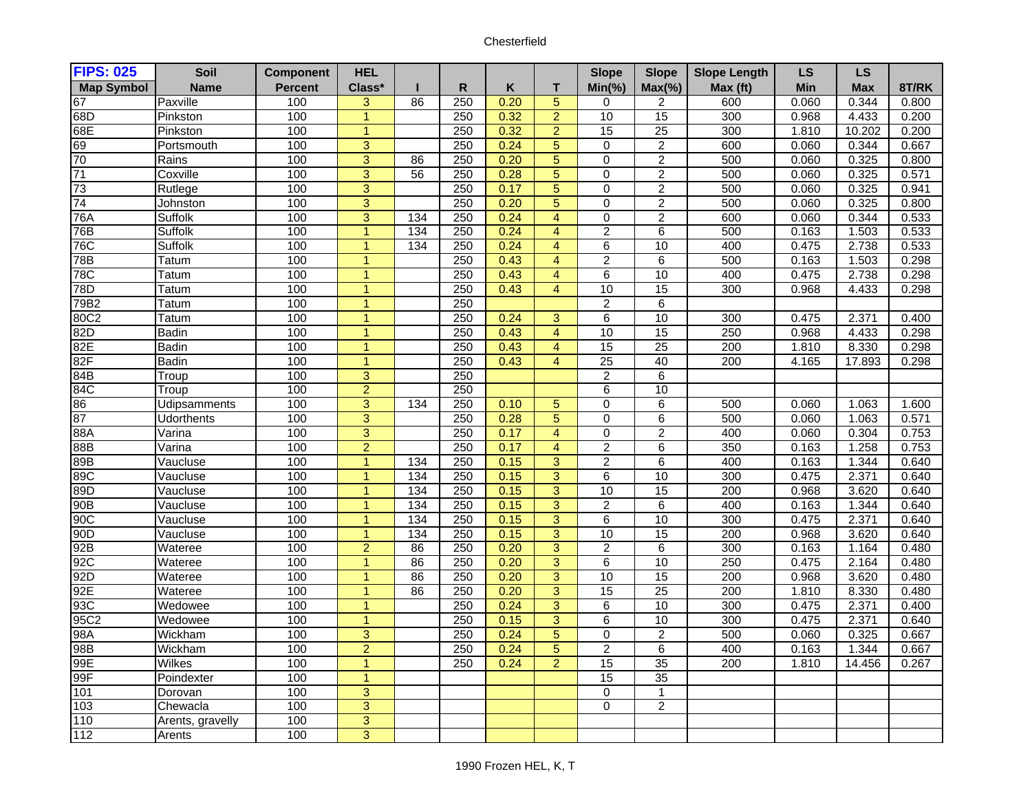| <b>FIPS: 025</b>  | Soil              | <b>Component</b> | <b>HEL</b>     |                 |              |      |                         | <b>Slope</b>    | <b>Slope</b>    | <b>Slope Length</b> | LS         | <b>LS</b>  |       |
|-------------------|-------------------|------------------|----------------|-----------------|--------------|------|-------------------------|-----------------|-----------------|---------------------|------------|------------|-------|
| <b>Map Symbol</b> | <b>Name</b>       | <b>Percent</b>   | Class*         | ш               | $\mathsf{R}$ | Κ    | T.                      | $Min(\% )$      | $Max(\%)$       | Max (ft)            | <b>Min</b> | <b>Max</b> | 8T/RK |
| 67                | Paxville          | 100              | 3              | 86              | 250          | 0.20 | $\overline{5}$          | 0               | 2               | 600                 | 0.060      | 0.344      | 0.800 |
| 68D               | Pinkston          | 100              | $\overline{1}$ |                 | 250          | 0.32 | $\overline{2}$          | 10              | 15              | 300                 | 0.968      | 4.433      | 0.200 |
| 68E               | Pinkston          | 100              | $\mathbf{1}$   |                 | 250          | 0.32 | $\overline{a}$          | $\overline{15}$ | $\overline{25}$ | 300                 | 1.810      | 10.202     | 0.200 |
| 69                | Portsmouth        | 100              | $\overline{3}$ |                 | 250          | 0.24 | $\overline{5}$          | $\overline{0}$  | $\overline{2}$  | 600                 | 0.060      | 0.344      | 0.667 |
| 70                | Rains             | 100              | $\overline{3}$ | 86              | 250          | 0.20 | $\overline{5}$          | $\overline{0}$  | $\overline{2}$  | 500                 | 0.060      | 0.325      | 0.800 |
| 71                | Coxville          | 100              | $\overline{3}$ | 56              | 250          | 0.28 | $\overline{5}$          | 0               | $\overline{2}$  | 500                 | 0.060      | 0.325      | 0.571 |
| 73                | Rutlege           | 100              | $\overline{3}$ |                 | 250          | 0.17 | $\overline{5}$          | $\mathbf 0$     | $\overline{2}$  | 500                 | 0.060      | 0.325      | 0.941 |
| 74                | Johnston          | 100              | $\overline{3}$ |                 | 250          | 0.20 | $\overline{5}$          | $\Omega$        | $\overline{2}$  | 500                 | 0.060      | 0.325      | 0.800 |
| 76A               | Suffolk           | 100              | $\overline{3}$ | 134             | 250          | 0.24 | $\overline{4}$          | $\Omega$        | $\overline{2}$  | 600                 | 0.060      | 0.344      | 0.533 |
| 76B               | Suffolk           | 100              | $\overline{1}$ | 134             | 250          | 0.24 | $\overline{\mathbf{4}}$ | $\overline{c}$  | $\,6$           | 500                 | 0.163      | 1.503      | 0.533 |
| 76C               | Suffolk           | 100              | $\overline{1}$ | 134             | 250          | 0.24 | $\overline{4}$          | $\overline{6}$  | 10              | 400                 | 0.475      | 2.738      | 0.533 |
| 78B               | Tatum             | 100              | $\mathbf{1}$   |                 | 250          | 0.43 | $\overline{4}$          | $\overline{c}$  | $\,6$           | 500                 | 0.163      | 1.503      | 0.298 |
| 78C               | Tatum             | 100              | $\mathbf{1}$   |                 | 250          | 0.43 | $\overline{4}$          | 6               | 10              | 400                 | 0.475      | 2.738      | 0.298 |
| 78D               | Tatum             | 100              | $\overline{1}$ |                 | 250          | 0.43 | $\overline{4}$          | 10              | 15              | 300                 | 0.968      | 4.433      | 0.298 |
| 79B2              | Tatum             | 100              | 1              |                 | 250          |      |                         | $\overline{2}$  | $\overline{6}$  |                     |            |            |       |
| 80C2              | Tatum             | 100              | $\overline{1}$ |                 | 250          | 0.24 | 3                       | $\overline{6}$  | 10              | 300                 | 0.475      | 2.371      | 0.400 |
| 82D               | <b>Badin</b>      | 100              | $\overline{1}$ |                 | 250          | 0.43 | $\overline{4}$          | 10              | 15              | 250                 | 0.968      | 4.433      | 0.298 |
| 82E               | <b>Badin</b>      | 100              | $\mathbf{1}$   |                 | 250          | 0.43 | $\overline{4}$          | 15              | 25              | 200                 | 1.810      | 8.330      | 0.298 |
| 82F               | <b>Badin</b>      | 100              | $\overline{1}$ |                 | 250          | 0.43 | $\overline{4}$          | $\overline{25}$ | 40              | 200                 | 4.165      | 17.893     | 0.298 |
| 84B               | Troup             | 100              | $\overline{3}$ |                 | 250          |      |                         | $\overline{c}$  | $\overline{6}$  |                     |            |            |       |
| 84C               | Troup             | 100              | $\overline{2}$ |                 | 250          |      |                         | 6               | 10              |                     |            |            |       |
| 86                | Udipsamments      | 100              | $\overline{3}$ | 134             | 250          | 0.10 | $\overline{5}$          | $\mathbf 0$     | $\overline{6}$  | 500                 | 0.060      | 1.063      | 1.600 |
| 87                | <b>Udorthents</b> | 100              | $\overline{3}$ |                 | 250          | 0.28 | $\overline{5}$          | 0               | $\,6$           | 500                 | 0.060      | 1.063      | 0.571 |
| 88A               | Varina            | 100              | $\overline{3}$ |                 | 250          | 0.17 | $\overline{4}$          | 0               | $\overline{2}$  | 400                 | 0.060      | 0.304      | 0.753 |
| 88B               | Varina            | 100              | $\overline{2}$ |                 | 250          | 0.17 | $\overline{4}$          | $\overline{2}$  | $\overline{6}$  | 350                 | 0.163      | 1.258      | 0.753 |
| 89B               | Vaucluse          | 100              | $\overline{1}$ | 134             | 250          | 0.15 | $\overline{3}$          | $\overline{2}$  | $\overline{6}$  | 400                 | 0.163      | 1.344      | 0.640 |
| 89C               | Vaucluse          | 100              | $\overline{1}$ | 134             | 250          | 0.15 | $\overline{3}$          | $\overline{6}$  | 10              | 300                 | 0.475      | 2.371      | 0.640 |
| 89D               | Vaucluse          | 100              | $\overline{1}$ | $\frac{134}{2}$ | 250          | 0.15 | $\overline{3}$          | 10              | 15              | 200                 | 0.968      | 3.620      | 0.640 |
| 90B               | Vaucluse          | 100              | $\mathbf{1}$   | 134             | 250          | 0.15 | $\overline{3}$          | $\overline{2}$  | $\overline{6}$  | 400                 | 0.163      | 1.344      | 0.640 |
| 90C               | Vaucluse          | 100              | $\mathbf{1}$   | $\frac{134}{2}$ | 250          | 0.15 | 3                       | $\,6$           | 10              | 300                 | 0.475      | 2.371      | 0.640 |
| 90 <sub>D</sub>   | Vaucluse          | 100              | $\overline{1}$ | 134             | 250          | 0.15 | $\overline{3}$          | 10              | 15              | 200                 | 0.968      | 3.620      | 0.640 |
| 92B               | Wateree           | 100              | $\overline{2}$ | 86              | 250          | 0.20 | 3                       | $\overline{c}$  | $\overline{6}$  | 300                 | 0.163      | 1.164      | 0.480 |
| 92C               | Wateree           | 100              | $\overline{1}$ | 86              | 250          | 0.20 | $\overline{3}$          | 6               | 10              | 250                 | 0.475      | 2.164      | 0.480 |
| 92D               | Wateree           | 100              | $\overline{1}$ | 86              | 250          | 0.20 | $\overline{3}$          | 10              | 15              | 200                 | 0.968      | 3.620      | 0.480 |
| 92E               | Wateree           | 100              | $\mathbf{1}$   | 86              | 250          | 0.20 | $\overline{3}$          | 15              | 25              | 200                 | 1.810      | 8.330      | 0.480 |
| 93C               | Wedowee           | 100              | $\mathbf{1}$   |                 | 250          | 0.24 | $\overline{3}$          | $\overline{6}$  | 10              | 300                 | 0.475      | 2.371      | 0.400 |
| 95C2              | Wedowee           | 100              | $\mathbf{1}$   |                 | 250          | 0.15 | 3                       | 6               | $\overline{10}$ | 300                 | 0.475      | 2.371      | 0.640 |
| 98A               | Wickham           | 100              | $\overline{3}$ |                 | 250          | 0.24 | $\overline{5}$          | $\mathbf 0$     | $\overline{2}$  | 500                 | 0.060      | 0.325      | 0.667 |
| 98B               | Wickham           | 100              | $\overline{2}$ |                 | 250          | 0.24 | 5                       | $\overline{2}$  | $\,6$           | 400                 | 0.163      | 1.344      | 0.667 |
| 99E               | <b>Wilkes</b>     | 100              | $\overline{1}$ |                 | 250          | 0.24 | $\overline{2}$          | 15              | 35              | 200                 | 1.810      | 14.456     | 0.267 |
| 99F               | Poindexter        | 100              | $\overline{1}$ |                 |              |      |                         | $\overline{15}$ | $\overline{35}$ |                     |            |            |       |
| 101               | Dorovan           | 100              | $\overline{3}$ |                 |              |      |                         | $\mathbf 0$     | $\mathbf{1}$    |                     |            |            |       |
| 103               | Chewacla          | 100              | $\overline{3}$ |                 |              |      |                         | 0               | $\overline{2}$  |                     |            |            |       |
| 110               | Arents, gravelly  | 100              | $\overline{3}$ |                 |              |      |                         |                 |                 |                     |            |            |       |
| 112               | Arents            | 100              | $\overline{3}$ |                 |              |      |                         |                 |                 |                     |            |            |       |